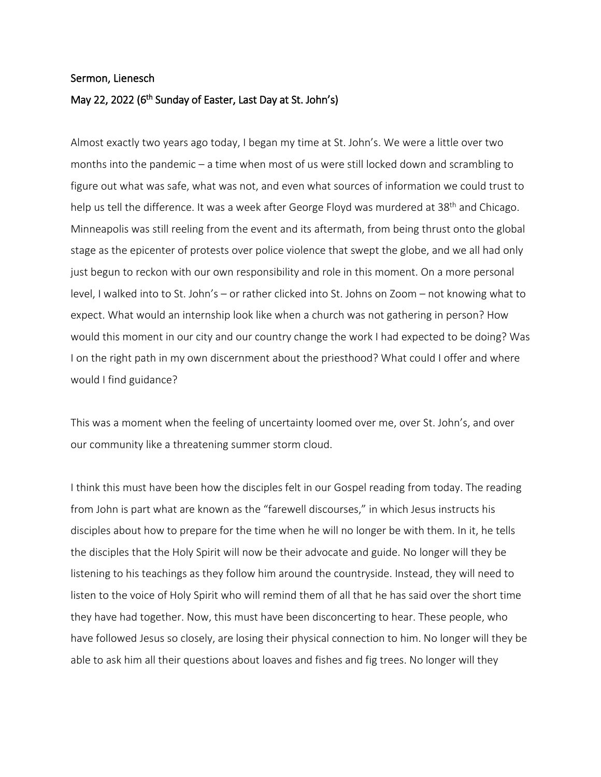## Sermon, Lienesch

## May 22, 2022 (6<sup>th</sup> Sunday of Easter, Last Day at St. John's)

Almost exactly two years ago today, I began my time at St. John's. We were a little over two months into the pandemic – a time when most of us were still locked down and scrambling to figure out what was safe, what was not, and even what sources of information we could trust to help us tell the difference. It was a week after George Floyd was murdered at 38<sup>th</sup> and Chicago. Minneapolis was still reeling from the event and its aftermath, from being thrust onto the global stage as the epicenter of protests over police violence that swept the globe, and we all had only just begun to reckon with our own responsibility and role in this moment. On a more personal level, I walked into to St. John's – or rather clicked into St. Johns on Zoom – not knowing what to expect. What would an internship look like when a church was not gathering in person? How would this moment in our city and our country change the work I had expected to be doing? Was I on the right path in my own discernment about the priesthood? What could I offer and where would I find guidance?

This was a moment when the feeling of uncertainty loomed over me, over St. John's, and over our community like a threatening summer storm cloud.

I think this must have been how the disciples felt in our Gospel reading from today. The reading from John is part what are known as the "farewell discourses," in which Jesus instructs his disciples about how to prepare for the time when he will no longer be with them. In it, he tells the disciples that the Holy Spirit will now be their advocate and guide. No longer will they be listening to his teachings as they follow him around the countryside. Instead, they will need to listen to the voice of Holy Spirit who will remind them of all that he has said over the short time they have had together. Now, this must have been disconcerting to hear. These people, who have followed Jesus so closely, are losing their physical connection to him. No longer will they be able to ask him all their questions about loaves and fishes and fig trees. No longer will they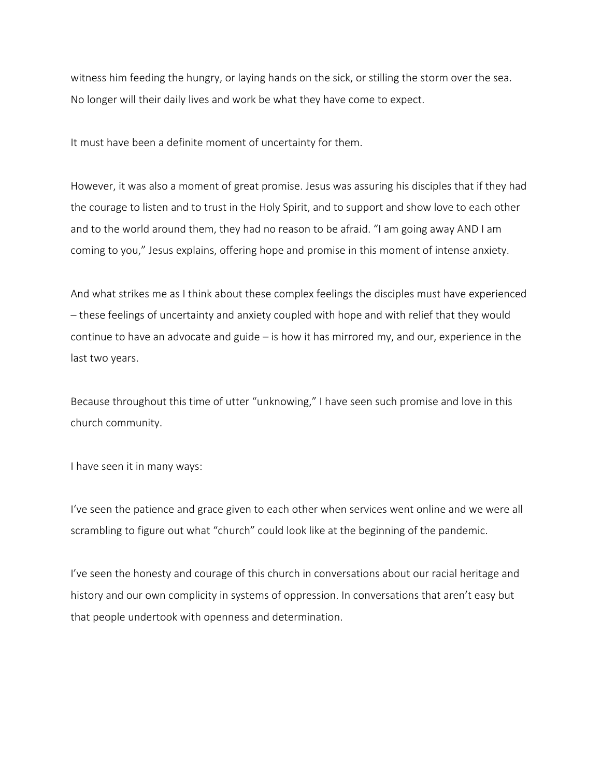witness him feeding the hungry, or laying hands on the sick, or stilling the storm over the sea. No longer will their daily lives and work be what they have come to expect.

It must have been a definite moment of uncertainty for them.

However, it was also a moment of great promise. Jesus was assuring his disciples that if they had the courage to listen and to trust in the Holy Spirit, and to support and show love to each other and to the world around them, they had no reason to be afraid. "I am going away AND I am coming to you," Jesus explains, offering hope and promise in this moment of intense anxiety.

And what strikes me as I think about these complex feelings the disciples must have experienced – these feelings of uncertainty and anxiety coupled with hope and with relief that they would continue to have an advocate and guide – is how it has mirrored my, and our, experience in the last two years.

Because throughout this time of utter "unknowing," I have seen such promise and love in this church community.

I have seen it in many ways:

I've seen the patience and grace given to each other when services went online and we were all scrambling to figure out what "church" could look like at the beginning of the pandemic.

I've seen the honesty and courage of this church in conversations about our racial heritage and history and our own complicity in systems of oppression. In conversations that aren't easy but that people undertook with openness and determination.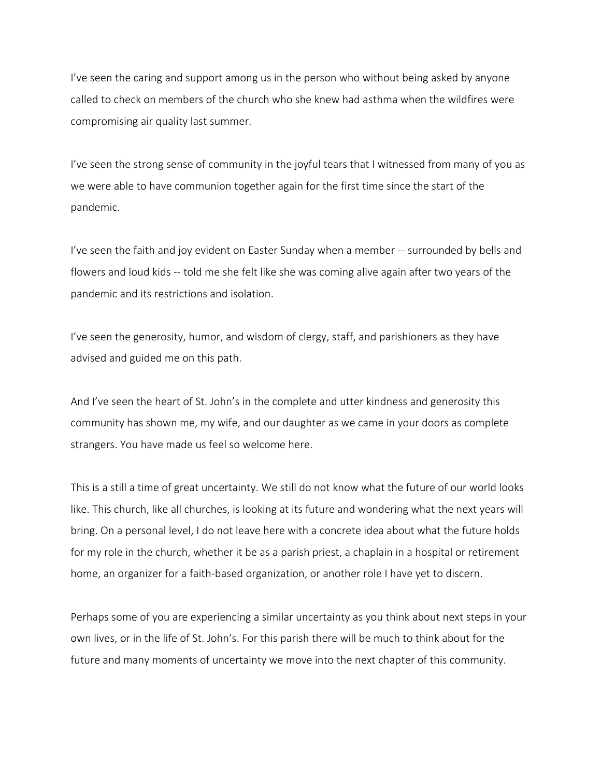I've seen the caring and support among us in the person who without being asked by anyone called to check on members of the church who she knew had asthma when the wildfires were compromising air quality last summer.

I've seen the strong sense of community in the joyful tears that I witnessed from many of you as we were able to have communion together again for the first time since the start of the pandemic.

I've seen the faith and joy evident on Easter Sunday when a member -- surrounded by bells and flowers and loud kids -- told me she felt like she was coming alive again after two years of the pandemic and its restrictions and isolation.

I've seen the generosity, humor, and wisdom of clergy, staff, and parishioners as they have advised and guided me on this path.

And I've seen the heart of St. John's in the complete and utter kindness and generosity this community has shown me, my wife, and our daughter as we came in your doors as complete strangers. You have made us feel so welcome here.

This is a still a time of great uncertainty. We still do not know what the future of our world looks like. This church, like all churches, is looking at its future and wondering what the next years will bring. On a personal level, I do not leave here with a concrete idea about what the future holds for my role in the church, whether it be as a parish priest, a chaplain in a hospital or retirement home, an organizer for a faith-based organization, or another role I have yet to discern.

Perhaps some of you are experiencing a similar uncertainty as you think about next steps in your own lives, or in the life of St. John's. For this parish there will be much to think about for the future and many moments of uncertainty we move into the next chapter of this community.